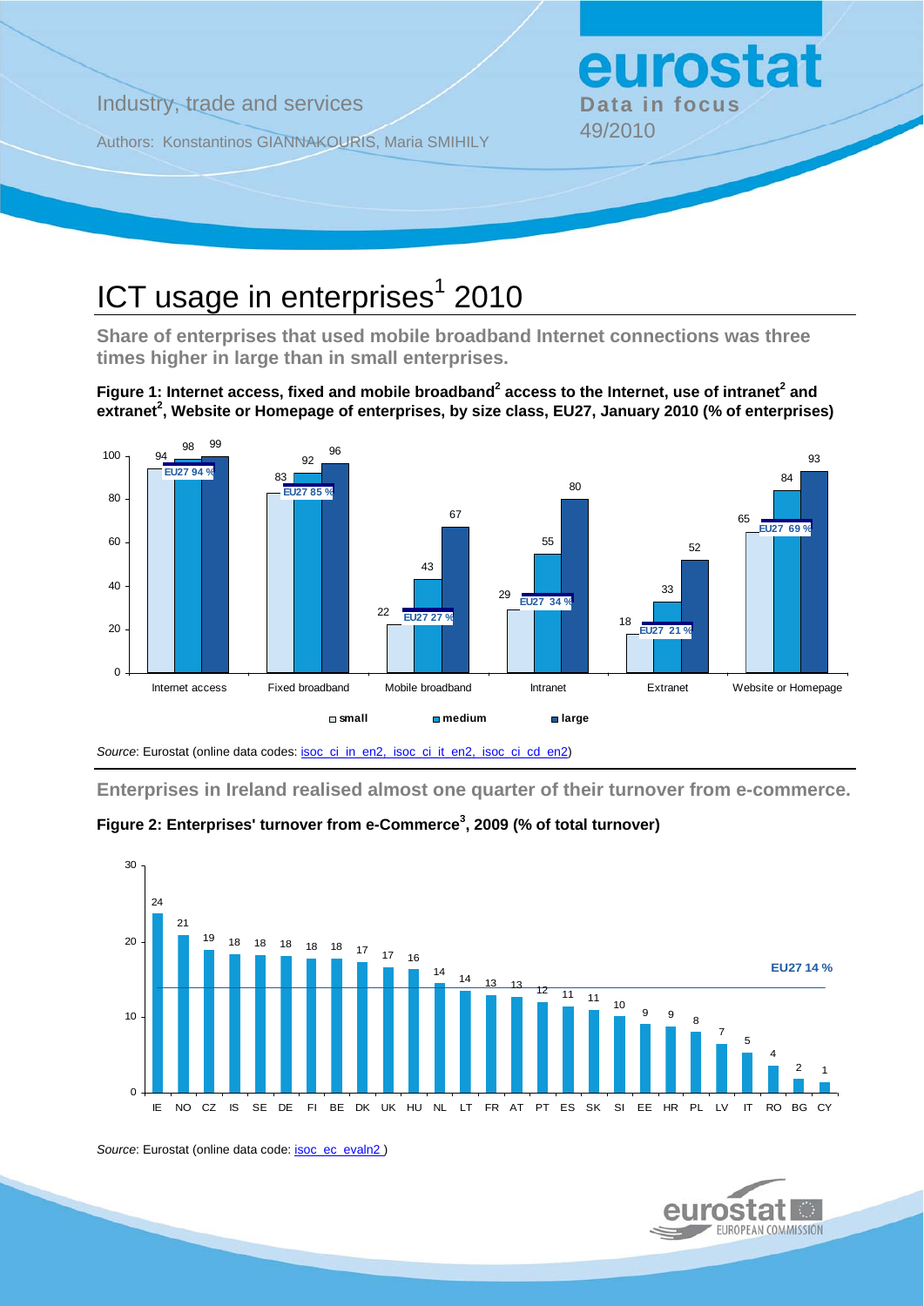## Industry, trade and services **Data in focus**

Authors: Konstantinos GIANNAKOURIS, Maria SMIHILY 49/2010

# ICT usage in enterprises<sup>1</sup> 2010

**Share of enterprises that used mobile broadband Internet connections was three times higher in large than in small enterprises.** 

**Figure 1: Internet access, fixed and mobile broadband<sup>2</sup> access to the Internet, use of intranet<sup>2</sup> and**  extranet<sup>2</sup>, Website or Homepage of enterprises, by size class, EU27, January 2010 (% of enterprises)

euros<sup>®</sup>



*Source*: Eurostat (online data codes: [isoc\\_ci\\_in\\_en2,](http://ec.europa.eu/eurostat/product?code=isoc_ci_in_en2&mode=view) [isoc\\_ci\\_it\\_en2,](http://ec.europa.eu/eurostat/product?code=isoc_ci_it_en2&mode=view) [isoc\\_ci\\_cd\\_en2](http://ec.europa.eu/eurostat/product?code=isoc_ci_cd_en2&mode=view))

**Enterprises in Ireland realised almost one quarter of their turnover from e-commerce.** 





Source: Eurostat (online data code: [isoc\\_ec\\_evaln2](http://ec.europa.eu/eurostat/product?mode=view&code=isoc_ec_evaln2) )

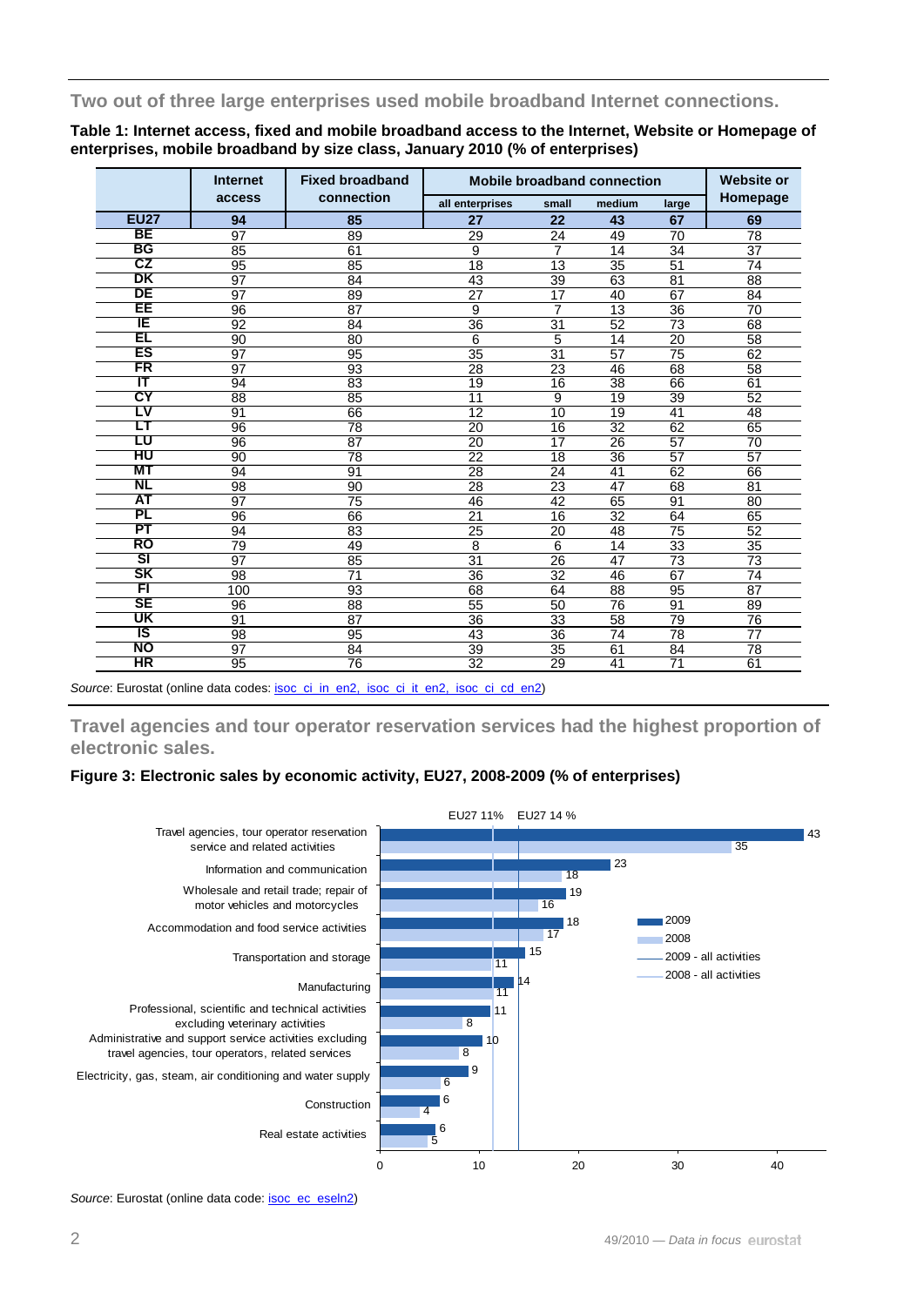**Two out of three large enterprises used mobile broadband Internet connections.** 

|             | <b>Fixed broadband</b><br><b>Mobile broadband connection</b><br><b>Internet</b> |            |                 |                 |                 |                 | <b>Website or</b> |
|-------------|---------------------------------------------------------------------------------|------------|-----------------|-----------------|-----------------|-----------------|-------------------|
|             | access                                                                          | connection | all enterprises | small           | medium          | large           | Homepage          |
| <b>EU27</b> | 94                                                                              | 85         | 27              | 22              | 43              | 67              | 69                |
| ВE          | 97                                                                              | 89         | 29              | 24              | 49              | 70              | 78                |
| BG          | 85                                                                              | 61         | 9               | 7               | 14              | $\overline{34}$ | $\overline{37}$   |
| CZ          | 95                                                                              | 85         | 18              | 13              | 35              | 51              | 74                |
| DK          | 97                                                                              | 84         | 43              | 39              | 63              | 81              | 88                |
| DE          | 97                                                                              | 89         | 27              | 17              | 40              | 67              | 84                |
| EE          | 96                                                                              | 87         | 9               | $\overline{7}$  | 13              | 36              | 70                |
| ΙE          | 92                                                                              | 84         | 36              | 31              | $\overline{52}$ | 73              | 68                |
| EL          | 90                                                                              | 80         | 6               | 5               | 14              | 20              | 58                |
| ES          | 97                                                                              | 95         | 35              | $\overline{31}$ | 57              | 75              | 62                |
| FR          | 97                                                                              | 93         | 28              | 23              | 46              | 68              | 58                |
| ΙΤ          | 94                                                                              | 83         | 19              | 16              | 38              | 66              | 61                |
| CY          | $\overline{88}$                                                                 | 85         | 11              | 9               | $\overline{19}$ | 39              | $\overline{52}$   |
| LV          | 91                                                                              | 66         | 12              | 10              | 19              | 41              | 48                |
| LТ          | 96                                                                              | 78         | 20              | 16              | 32              | 62              | 65                |
| LU          | 96                                                                              | 87         | 20              | 17              | 26              | 57              | 70                |
| HU          | 90                                                                              | 78         | 22              | 18              | 36              | 57              | 57                |
| МT          | 94                                                                              | 91         | 28              | 24              | 41              | 62              | 66                |
| <b>NL</b>   | 98                                                                              | 90         | 28              | 23              | 47              | 68              | 81                |
| AT          | 97                                                                              | 75         | 46              | 42              | 65              | 91              | 80                |
| PL          | 96                                                                              | 66         | 21              | 16              | 32              | 64              | 65                |
| PI          | 94                                                                              | 83         | 25              | 20              | 48              | 75              | 52                |
| <b>RO</b>   | 79                                                                              | 49         | 8               | 6               | 14              | 33              | 35                |
| SI          | 97                                                                              | 85         | 31              | 26              | 47              | 73              | 73                |
| <b>SK</b>   | 98                                                                              | 71         | $\overline{36}$ | 32              | 46              | 67              | $\overline{74}$   |
| FI          | 100                                                                             | 93         | 68              | 64              | $\overline{88}$ | 95              | $\overline{87}$   |
| <b>SE</b>   | 96                                                                              | 88         | 55              | 50              | 76              | 91              | 89                |
| UK          | 91                                                                              | 87         | 36              | 33              | 58              | 79              | 76                |
| ΤS          | 98                                                                              | 95         | 43              | 36              | 74              | 78              | 77                |
| NO          | 97                                                                              | 84         | 39              | 35              | 61              | 84              | 78                |
| HR          | 95                                                                              | 76         | 32              | 29              | 41              | 71              | 61                |

**Table 1: Internet access, fixed and mobile broadband access to the Internet, Website or Homepage of enterprises, mobile broadband by size class, January 2010 (% of enterprises)** 

Source: Eurostat (online data codes: **isoc\_ci\_in\_en2**, [isoc\\_ci\\_it\\_en2](http://ec.europa.eu/eurostat/product?code=isoc_ci_it_en2&mode=view), [isoc\\_ci\\_cd\\_en2](http://ec.europa.eu/eurostat/product?code=isoc_ci_cd_en2&mode=view))

**Travel agencies and tour operator reservation services had the highest proportion of electronic sales.** 

#### **Figure 3: Electronic sales by economic activity, EU27, 2008-2009 (% of enterprises)**



Source: Eurostat (online data code: [isoc\\_ec\\_eseln2](http://ec.europa.eu/eurostat/product?code=isoc_ec_eseln2&mode=view))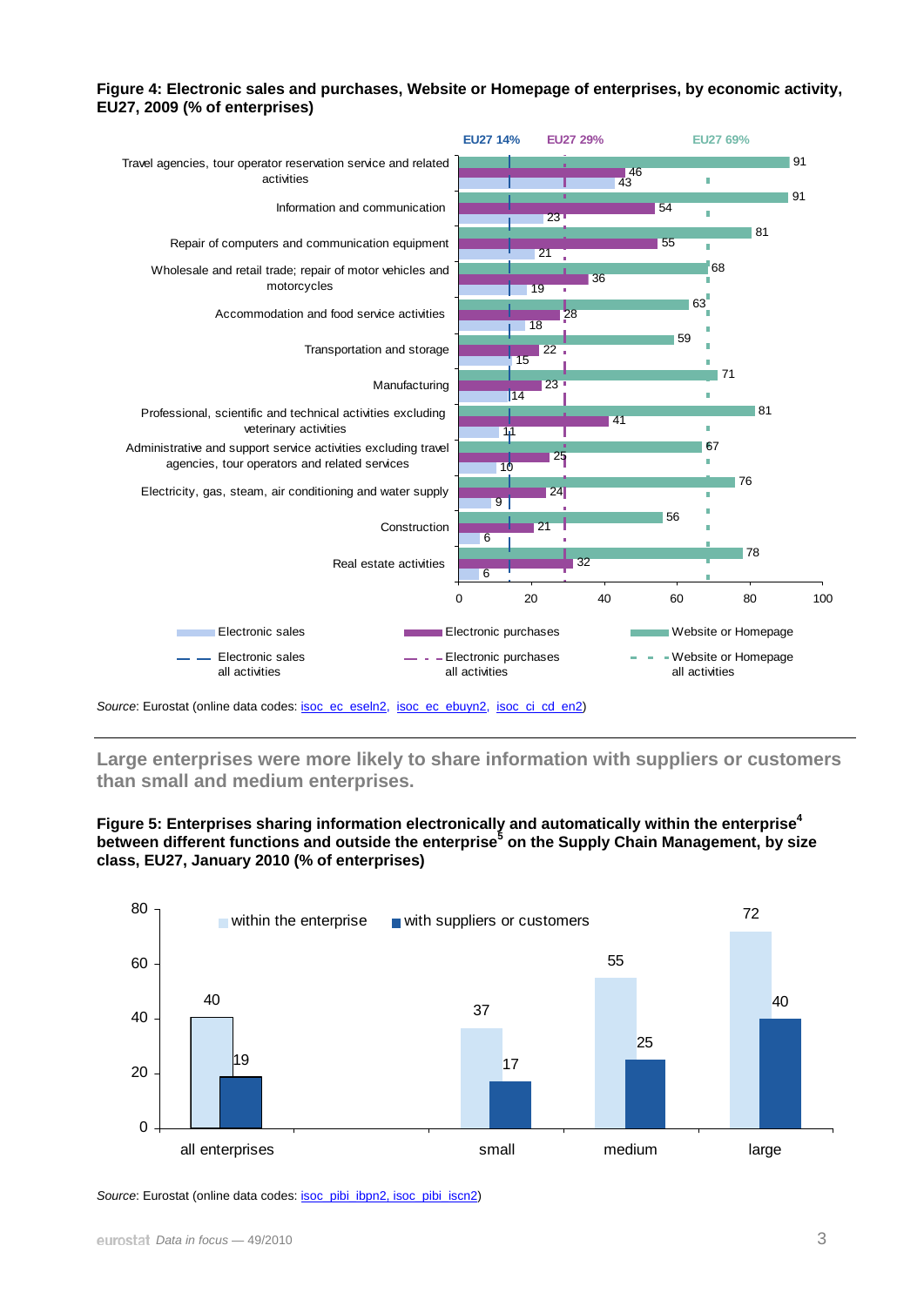

#### **Figure 4: Electronic sales and purchases, Website or Homepage of enterprises, by economic activity, EU27, 2009 (% of enterprises)**

*Source*: Eurostat (online data codes: [isoc\\_ec\\_eseln2](http://ec.europa.eu/eurostat/product?code=isoc_ec_eseln2&mode=view), [isoc\\_ec\\_ebuyn2,](http://ec.europa.eu/eurostat/product?code=isoc_ec_ebuyn2&mode=view) [isoc\\_ci\\_cd\\_en2](http://ec.europa.eu/eurostat/product?code=isoc_ci_cd_en2&mode=view))

**Large enterprises were more likely to share information with suppliers or customers than small and medium enterprises.** 

#### Figure 5: Enterprises sharing information electronically and automatically within the enterprise<sup>4</sup> between different functions and outside the enterprise<sup>5</sup> on the Supply Chain Management, by size **class, EU27, January 2010 (% of enterprises)**



*Source*: Eurostat (online data codes: [isoc\\_pibi\\_ibpn2](http://ec.europa.eu/eurostat/product?code=isoc_pibi_ibpn2&mode=view)[, isoc\\_pibi\\_iscn2\)](http://ec.europa.eu/eurostat/product?code=isoc_pibi_iscn2&mode=view)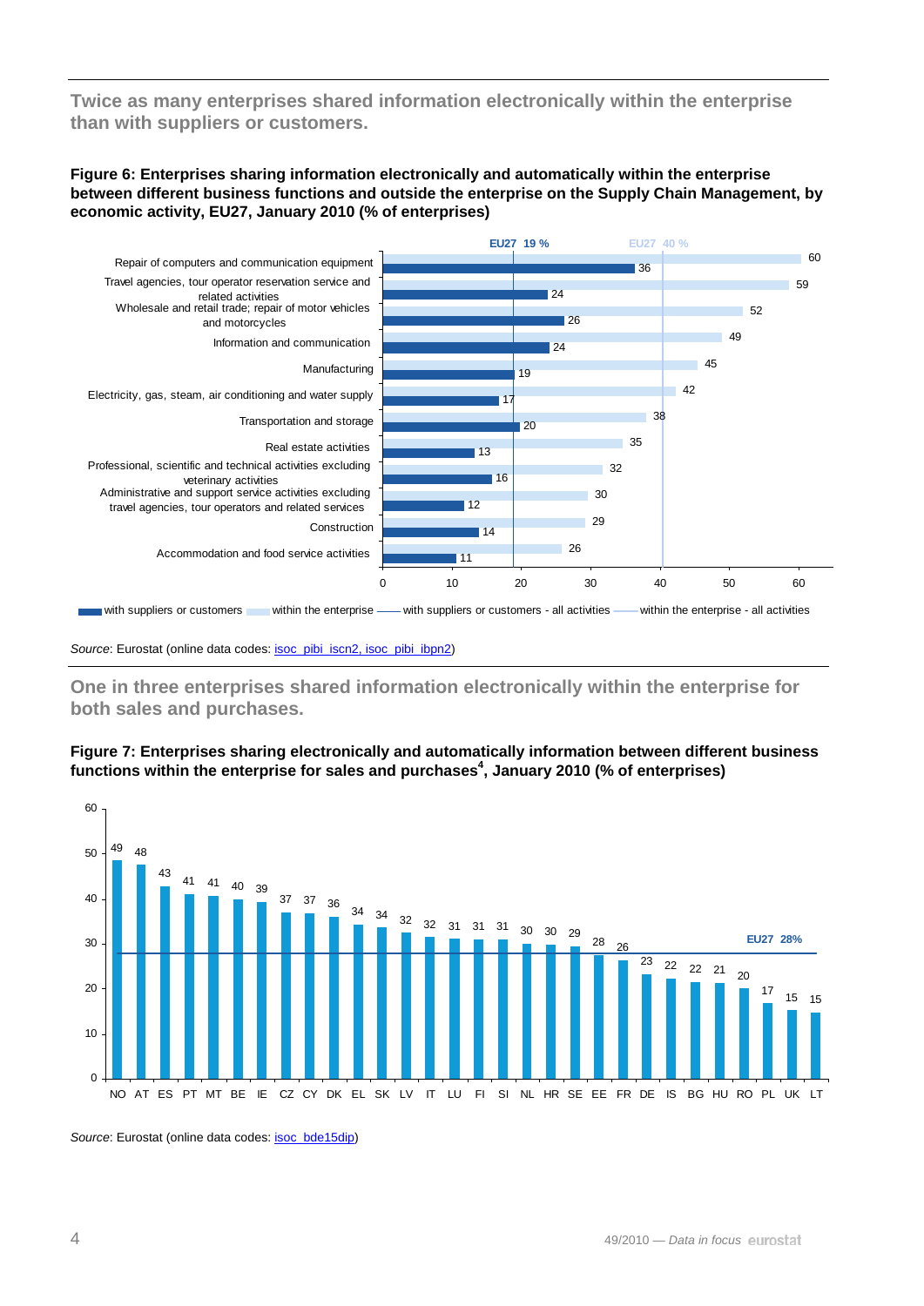**Twice as many enterprises shared information electronically within the enterprise than with suppliers or customers.** 

#### **Figure 6: Enterprises sharing information electronically and automatically within the enterprise between different business functions and outside the enterprise on the Supply Chain Management, by economic activity, EU27, January 2010 (% of enterprises)**



Source: Eurostat (online data codes: [isoc\\_pibi\\_iscn2](http://ec.europa.eu/eurostat/product?code=isoc_pibi_iscn2&mode=view), [isoc\\_pibi\\_ibpn2\)](http://ec.europa.eu/eurostat/product?code=isoc_pibi_ibpn2&mode=view)

## **One in three enterprises shared information electronically within the enterprise for both sales and purchases.**





Source: Eurostat (online data codes: [isoc\\_bde15dip\)](http://ec.europa.eu/eurostat/product?mode=view&code=isoc_bde15dip)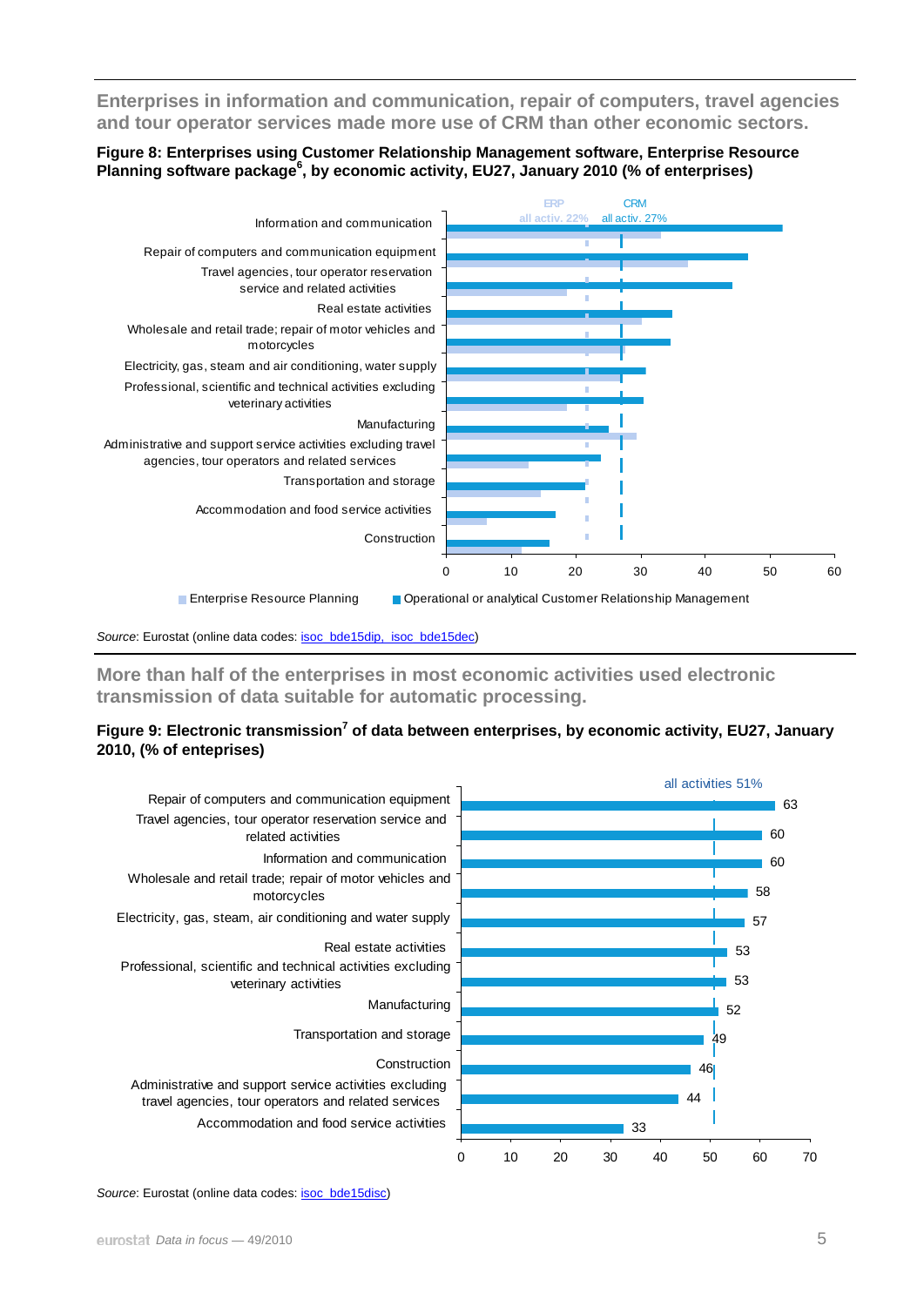**Enterprises in information and communication, repair of computers, travel agencies and tour operator services made more use of CRM than other economic sectors.** 

**Figure 8: Enterprises using Customer Relationship Management software, Enterprise Resource**  Planning software package<sup>6</sup>, by economic activity, EU27, January 2010 (% of enterprises)



*Source*: Eurostat (online data codes: [isoc\\_bde15dip,](http://ec.europa.eu/eurostat/product?code=isoc_bde15dip&mode=view) [isoc\\_bde15dec](http://ec.europa.eu/eurostat/product?code=isoc_bde15dec&mode=view))

**More than half of the enterprises in most economic activities used electronic transmission of data suitable for automatic processing.** 

#### Figure 9: Electronic transmission<sup>7</sup> of data between enterprises, by economic activity, EU27, January **2010, (% of enteprises)**



Source: Eurostat (online data codes: [isoc\\_bde15disc](http://ec.europa.eu/eurostat/product?mode=view&code=isoc_bde15disc))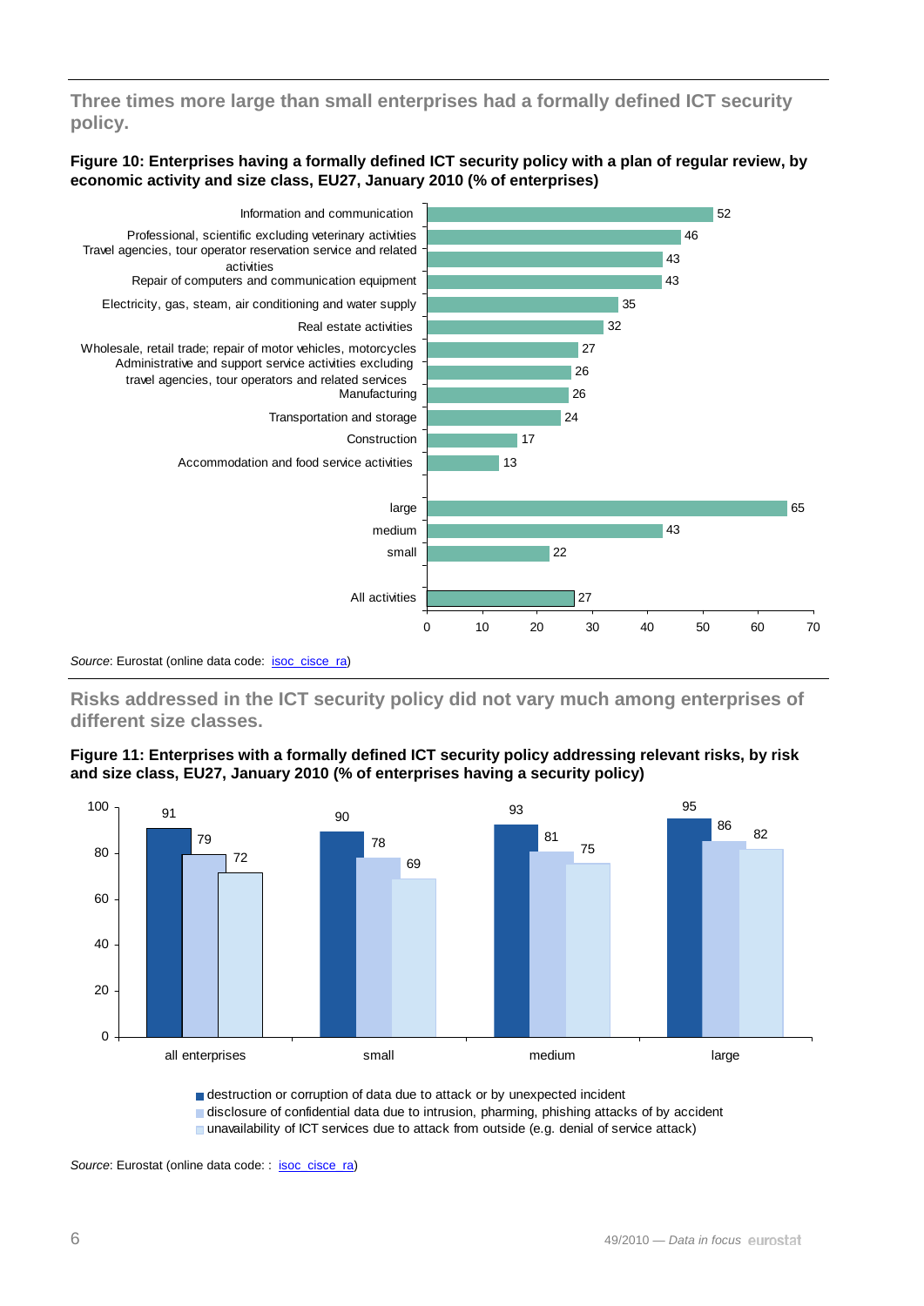**Three times more large than small enterprises had a formally defined ICT security policy.** 

#### **Figure 10: Enterprises having a formally defined ICT security policy with a plan of regular review, by economic activity and size class, EU27, January 2010 (% of enterprises)**



Source: Eurostat (online data code: **[isoc\\_cisce\\_ra\)](http://ec.europa.eu/eurostat/product?code=isoc_cisce_ra&mode=view)** 

**Risks addressed in the ICT security policy did not vary much among enterprises of different size classes.** 

### **Figure 11: Enterprises with a formally defined ICT security policy addressing relevant risks, by risk and size class, EU27, January 2010 (% of enterprises having a security policy)**



destruction or corruption of data due to attack or by unexpected incident

disclosure of confidential data due to intrusion, pharming, phishing attacks of by accident

■ unavailability of ICT services due to attack from outside (e.g. denial of service attack)

Source: Eurostat (online data code: : isoc\_cisce\_ra)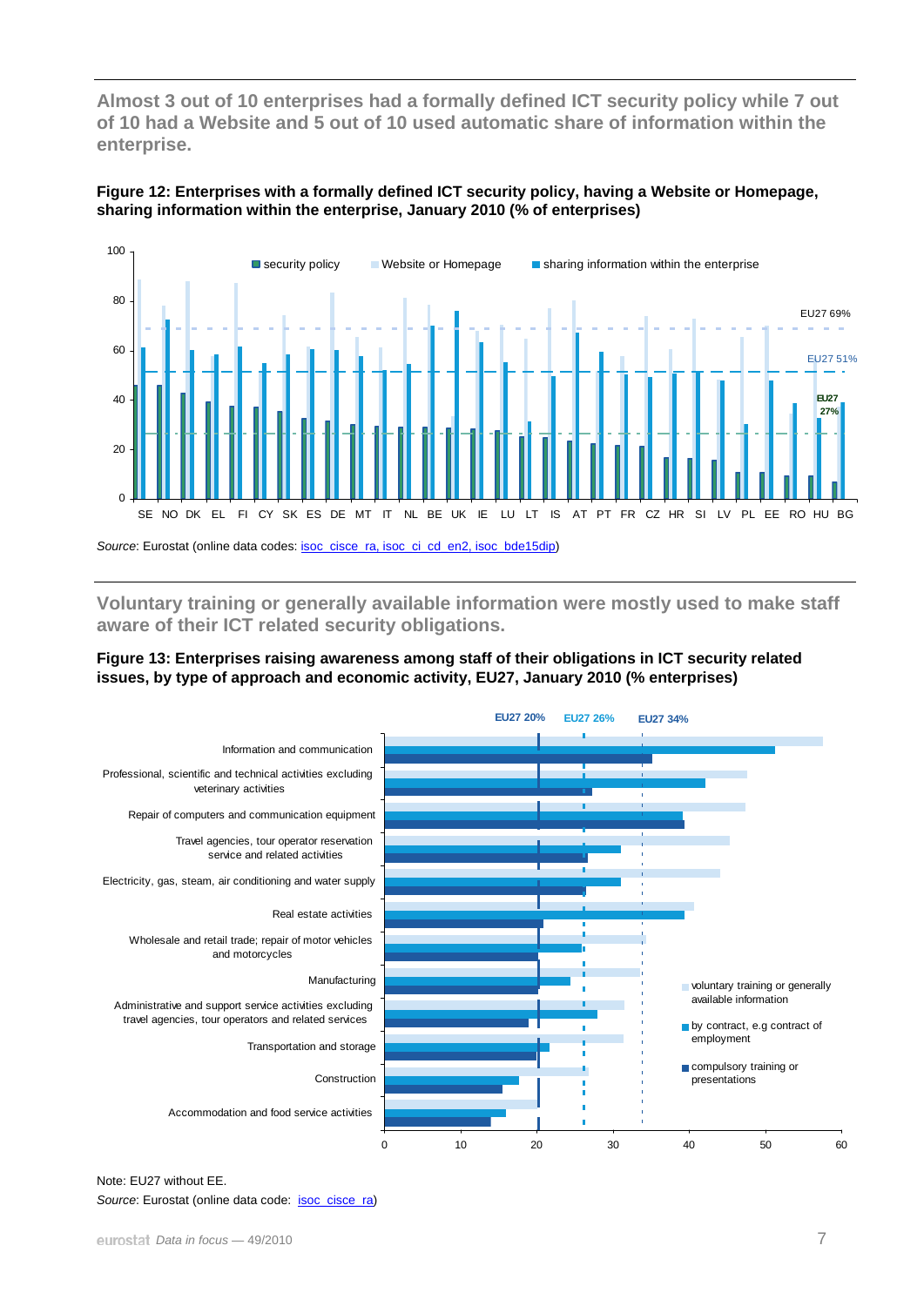**Almost 3 out of 10 enterprises had a formally defined ICT security policy while 7 out of 10 had a Website and 5 out of 10 used automatic share of information within the enterprise.** 





**Voluntary training or generally available information were mostly used to make staff** 

**aware of their ICT related security obligations.** 

## **Figure 13: Enterprises raising awareness among staff of their obligations in ICT security related issues, by type of approach and economic activity, EU27, January 2010 (% enterprises)**



Note: EU27 without EE. *Source*: Eurostat (online data code: [isoc\\_cisce\\_ra\)](http://ec.europa.eu/eurostat/product?code=isoc_cisce_ra&mode=view)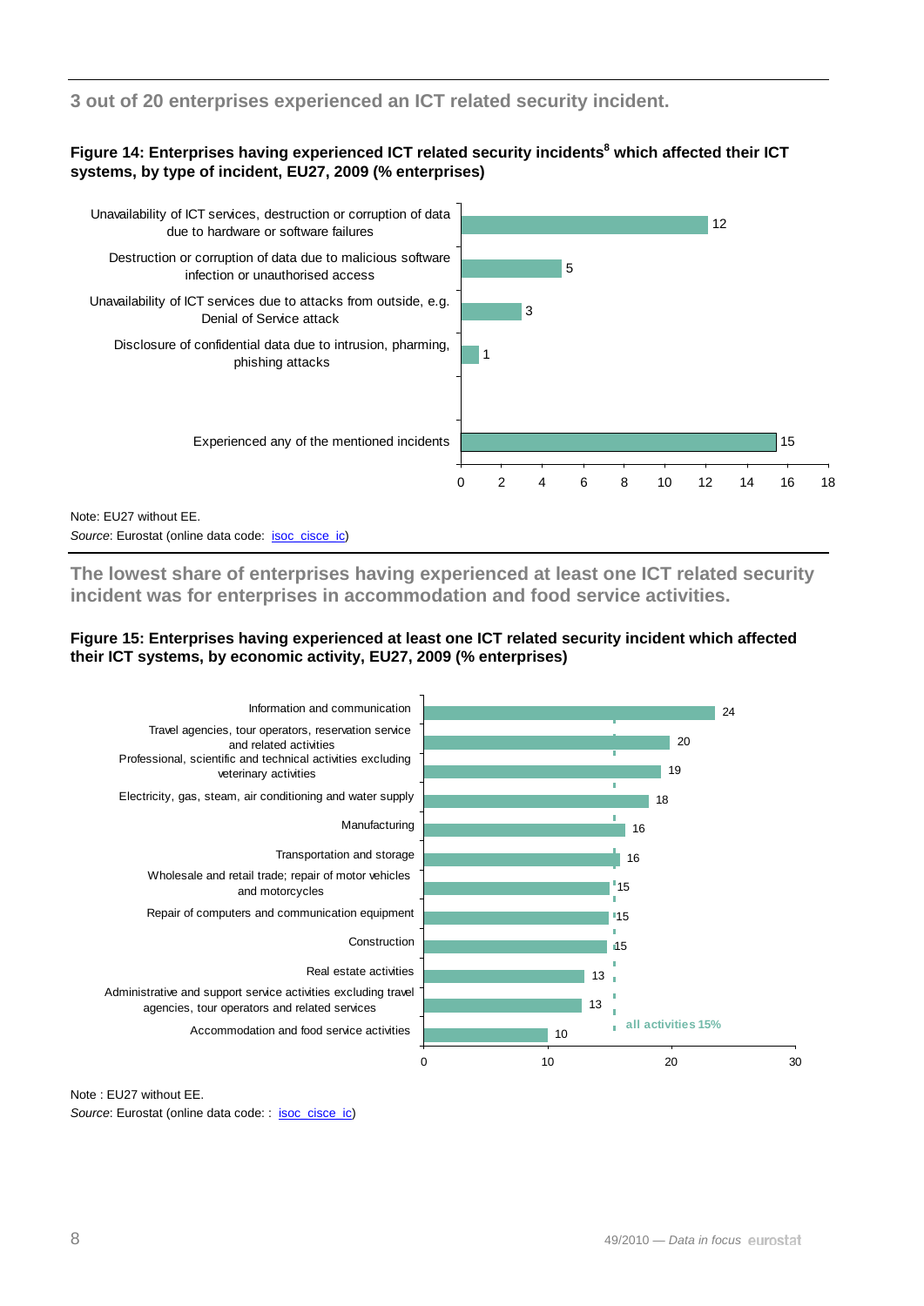**3 out of 20 enterprises experienced an ICT related security incident.** 

### Figure 14: Enterprises having experienced ICT related security incidents<sup>8</sup> which affected their ICT **systems, by type of incident, EU27, 2009 (% enterprises)**



**The lowest share of enterprises having experienced at least one ICT related security incident was for enterprises in accommodation and food service activities.**

### **Figure 15: Enterprises having experienced at least one ICT related security incident which affected their ICT systems, by economic activity, EU27, 2009 (% enterprises)**



Note : EU27 without EE.

Source: Eurostat (online data code: : [isoc\\_cisce\\_ic\)](http://ec.europa.eu/eurostat/product?code=isoc_cisce_ic&mode=view)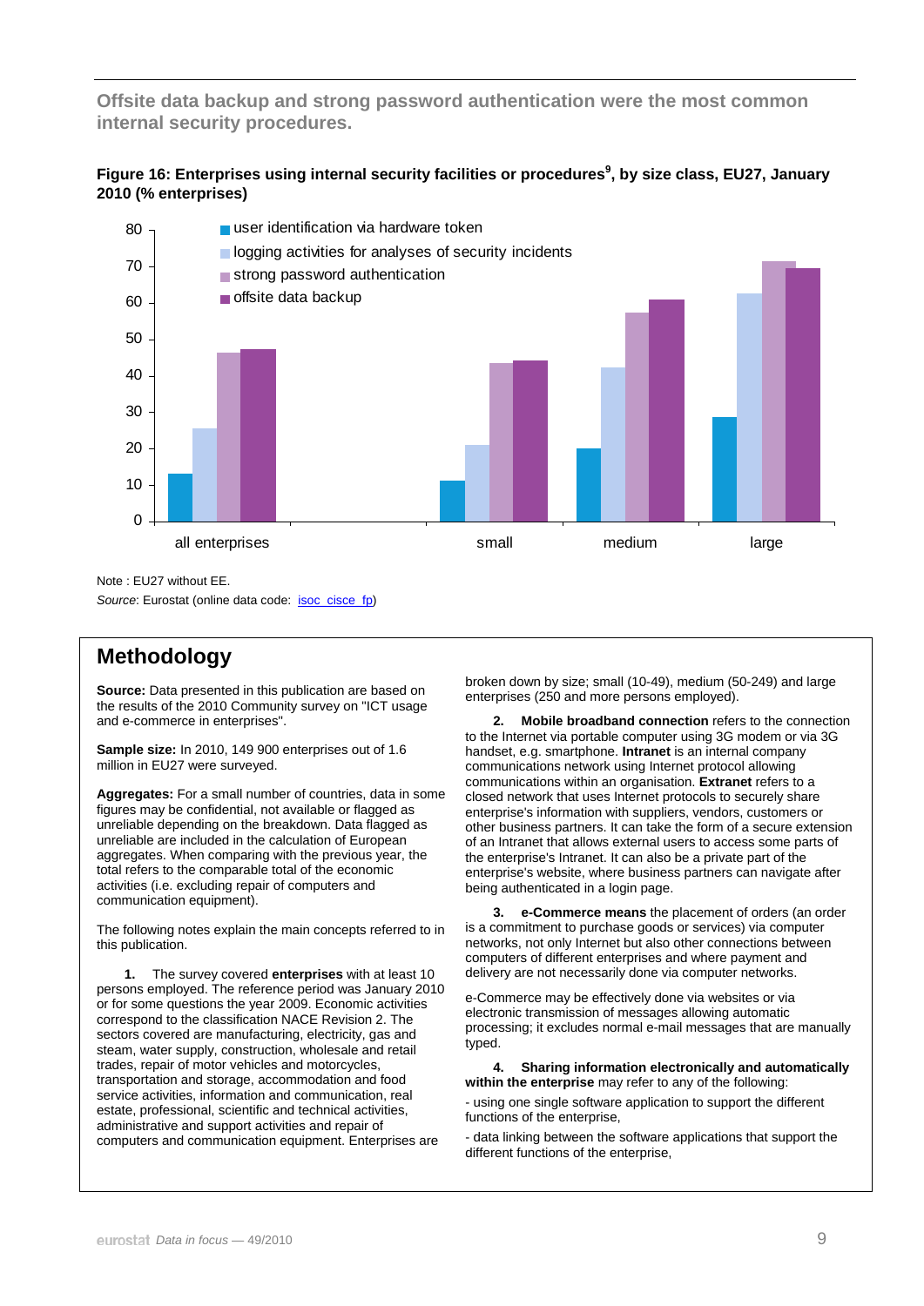**Offsite data backup and strong password authentication were the most common internal security procedures.** 

#### **Figure 16: Enterprises using internal security facilities or procedures<sup>9</sup> , by size class, EU27, January 2010 (% enterprises)**



Note : EU27 without EE.

Source: Eurostat (online data code: **isoc\_cisce\_fp)** 

# **Methodology**

**Source:** Data presented in this publication are based on the results of the 2010 Community survey on "ICT usage and e-commerce in enterprises".

**Sample size:** In 2010, 149 900 enterprises out of 1.6 million in EU27 were surveyed.

**Aggregates:** For a small number of countries, data in some figures may be confidential, not available or flagged as unreliable depending on the breakdown. Data flagged as unreliable are included in the calculation of European aggregates. When comparing with the previous year, the total refers to the comparable total of the economic activities (i.e. excluding repair of computers and communication equipment).

The following notes explain the main concepts referred to in this publication.

**1.** The survey covered **enterprises** with at least 10 persons employed. The reference period was January 2010 or for some questions the year 2009. Economic activities correspond to the classification NACE Revision 2. The sectors covered are manufacturing, electricity, gas and steam, water supply, construction, wholesale and retail trades, repair of motor vehicles and motorcycles, transportation and storage, accommodation and food service activities, information and communication, real estate, professional, scientific and technical activities, administrative and support activities and repair of computers and communication equipment. Enterprises are

broken down by size; small (10-49), medium (50-249) and large enterprises (250 and more persons employed).

**2. Mobile broadband connection** refers to the connection to the Internet via portable computer using 3G modem or via 3G handset, e.g. smartphone. **Intranet** is an internal company communications network using Internet protocol allowing communications within an organisation. **Extranet** refers to a closed network that uses Internet protocols to securely share enterprise's information with suppliers, vendors, customers or other business partners. It can take the form of a secure extension of an Intranet that allows external users to access some parts of the enterprise's Intranet. It can also be a private part of the enterprise's website, where business partners can navigate after being authenticated in a login page.

**3. e-Commerce means** the placement of orders (an order is a commitment to purchase goods or services) via computer networks, not only Internet but also other connections between computers of different enterprises and where payment and delivery are not necessarily done via computer networks.

e-Commerce may be effectively done via websites or via electronic transmission of messages allowing automatic processing; it excludes normal e-mail messages that are manually typed.

**4. Sharing information electronically and automatically within the enterprise** may refer to any of the following:

- using one single software application to support the different functions of the enterprise,

- data linking between the software applications that support the different functions of the enterprise,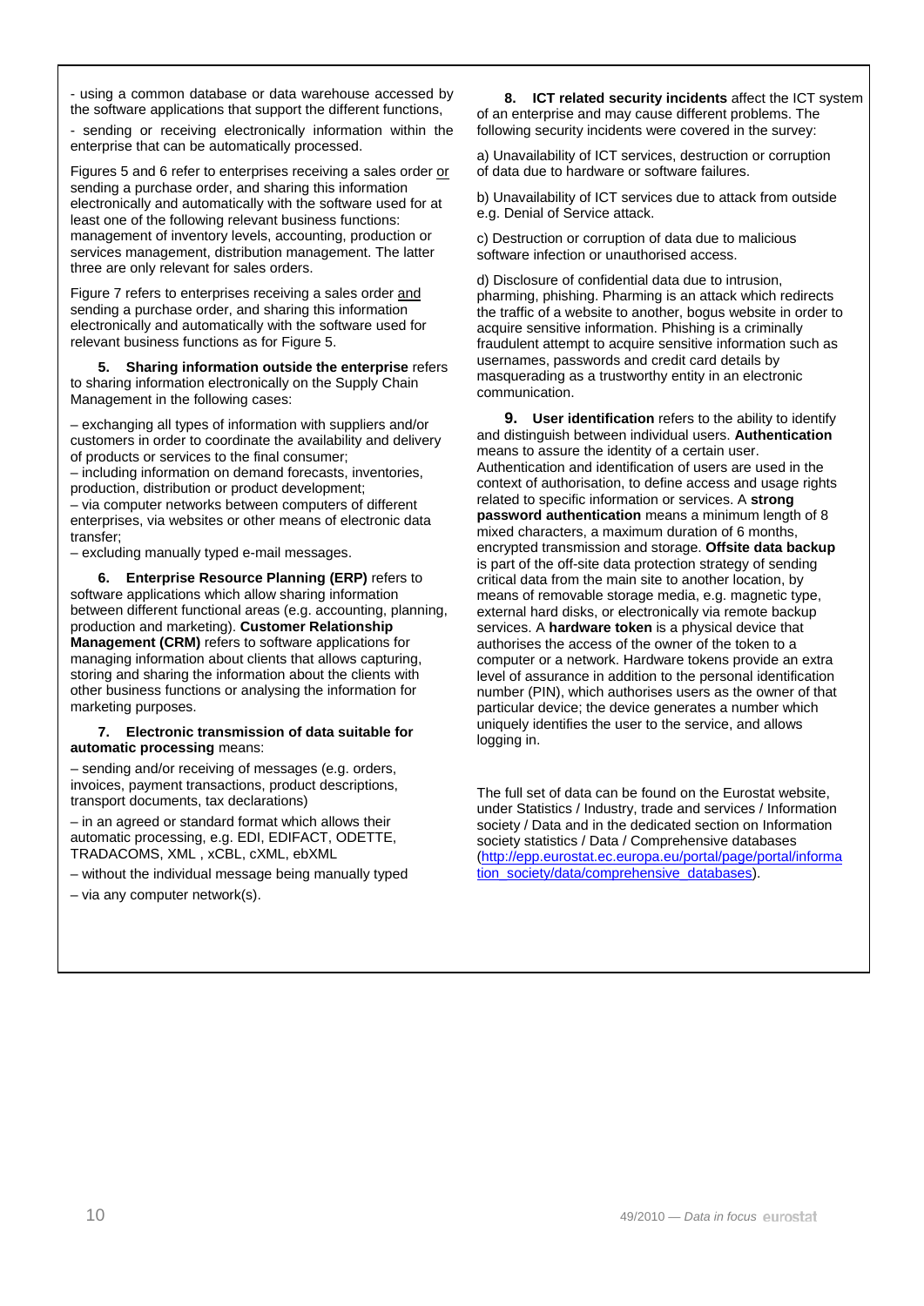- using a common database or data warehouse accessed by the software applications that support the different functions,

- sending or receiving electronically information within the enterprise that can be automatically processed.

Figures 5 and 6 refer to enterprises receiving a sales order or sending a purchase order, and sharing this information electronically and automatically with the software used for at least one of the following relevant business functions: management of inventory levels, accounting, production or services management, distribution management. The latter three are only relevant for sales orders.

Figure 7 refers to enterprises receiving a sales order and sending a purchase order, and sharing this information electronically and automatically with the software used for relevant business functions as for Figure 5.

**5. Sharing information outside the enterprise** refers to sharing information electronically on the Supply Chain Management in the following cases:

– exchanging all types of information with suppliers and/or customers in order to coordinate the availability and delivery of products or services to the final consumer;

– including information on demand forecasts, inventories, production, distribution or product development;

– via computer networks between computers of different enterprises, via websites or other means of electronic data transfer;

– excluding manually typed e-mail messages.

**6. Enterprise Resource Planning (ERP)** refers to software applications which allow sharing information between different functional areas (e.g. accounting, planning, production and marketing). **Customer Relationship Management (CRM)** refers to software applications for managing information about clients that allows capturing, storing and sharing the information about the clients with other business functions or analysing the information for marketing purposes.

#### **7. Electronic transmission of data suitable for automatic processing** means:

– sending and/or receiving of messages (e.g. orders, invoices, payment transactions, product descriptions, transport documents, tax declarations)

– in an agreed or standard format which allows their automatic processing, e.g. EDI, EDIFACT, ODETTE, TRADACOMS, XML , xCBL, cXML, ebXML

– without the individual message being manually typed

– via any computer network(s).

**8. ICT related security incidents** affect the ICT system of an enterprise and may cause different problems. The following security incidents were covered in the survey:

a) Unavailability of ICT services, destruction or corruption of data due to hardware or software failures.

b) Unavailability of ICT services due to attack from outside e.g. Denial of Service attack.

c) Destruction or corruption of data due to malicious software infection or unauthorised access.

d) Disclosure of confidential data due to intrusion, pharming, phishing. Pharming is an attack which redirects the traffic of a website to another, bogus website in order to acquire sensitive information. Phishing is a criminally fraudulent attempt to acquire sensitive information such as usernames, passwords and credit card details by masquerading as a trustworthy entity in an electronic communication.

**9.** User identification refers to the ability to identify and distinguish between individual users. **Authentication** means to assure the identity of a certain user. Authentication and identification of users are used in the context of authorisation, to define access and usage rights related to specific information or services. A **strong password authentication** means a minimum length of 8 mixed characters, a maximum duration of 6 months, encrypted transmission and storage. **Offsite data backup** is part of the off-site data protection strategy of sending critical data from the main site to another location, by means of removable storage media, e.g. magnetic type, external hard disks, or electronically via remote backup services. A **hardware token** is a physical device that authorises the access of the owner of the token to a computer or a network. Hardware tokens provide an extra level of assurance in addition to the personal identification number (PIN), which authorises users as the owner of that particular device; the device generates a number which uniquely identifies the user to the service, and allows logging in.

The full set of data can be found on the Eurostat website, under Statistics / Industry, trade and services / Information society / Data and in the dedicated section on Information society statistics / Data / Comprehensive databases [\(http://epp.eurostat.ec.europa.eu/portal/page/portal/informa](http://epp.eurostat.ec.europa.eu/portal/page/portal/information_society/data/comprehensive_databases) tion\_society/data/comprehensive\_databases).